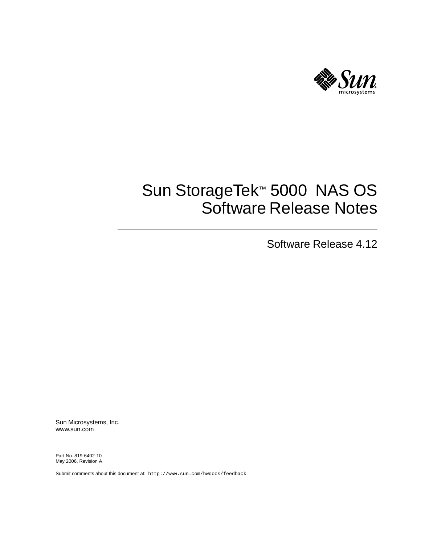

# Sun StorageTek™ 5000 NAS OS Software Release Notes

Software Release 4.12

Sun Microsystems, Inc. www.sun.com

Part No. 819-6402-10 May 2006, Revision A

Submit comments about this document at: http://www.sun.com/hwdocs/feedback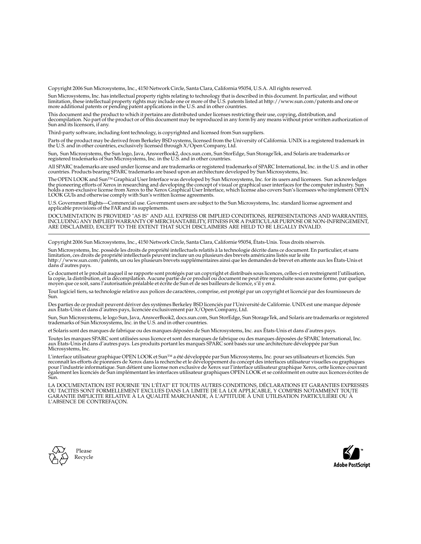Copyright 2006 Sun Microsystems, Inc., 4150 Network Circle, Santa Clara, California 95054, U.S.A. All rights reserved.

Sun Microsystems, Inc. has intellectual property rights relating to technology that is described in this document. In particular, and without limitation, these intellectual property rights may include one or more of the U.S. patents listed at http://www.sun.com/patents and one or more additional patents or pending patent applications in the U.S. and in other countries.

This document and the product to which it pertains are distributed under licenses restricting their use, copying, distribution, and decompilation. No part of the product or of this document may be reproduced in any form by any means without prior written authorization of Sun and its licensors, if any.

Third-party software, including font technology, is copyrighted and licensed from Sun suppliers.

Parts of the product may be derived from Berkeley BSD systems, licensed from the University of California. UNIX is a registered trademark in the U.S. and in other countries, exclusively licensed through X/Open Company, Ltd.

Sun, Sun Microsystems, the Sun logo, Java, AnswerBook2, docs.sun.com, Sun StorEdge, Sun StorageTek, and Solaris are trademarks or registered trademarks of Sun Microsystems, Inc. in the U.S. and in other countries.

All SPARC trademarks are used under license and are trademarks or registered trademarks of SPARC International, Inc. in the U.S. and in other countries. Products bearing SPARC trademarks are based upon an architecture developed by Sun Microsystems, Inc.

The OPEN LOOK and Sun™ Graphical User Interface was developed by Sun Microsystems, Inc. for its users and licensees. Sun acknowledges the pioneering efforts of Xerox in researching and developing the concept of visual or graphical user interfaces for the computer industry. Sun holds a non-exclusive license from Xerox to the Xerox Graphical User Interface, which license also covers Sun's licensees who implement OPEN LOOK GUIs and otherwise comply with Sun's written license agreements.

U.S. Government Rights—Commercial use. Government users are subject to the Sun Microsystems, Inc. standard license agreement and applicable provisions of the FAR and its supplements.

DOCUMENTATION IS PROVIDED "AS IS" AND ALL EXPRESS OR IMPLIED CONDITIONS, REPRESENTATIONS AND WARRANTIES, INCLUDING ANY IMPLIED WARRANTY OF MERCHANTABILITY, FITNESS FOR A PARTICULAR PURPOSE OR NON-INFRINGEMENT, ARE DISCLAIMED, EXCEPT TO THE EXTENT THAT SUCH DISCLAIMERS ARE HELD TO BE LEGALLY INVALID.

Copyright 2006 Sun Microsystems, Inc., 4150 Network Circle, Santa Clara, Californie 95054, États-Unis. Tous droits réservés.

Sun Microsystems, Inc. possède les droits de propriété intellectuels relatifs à la technologie décrite dans ce document. En particulier, et sans limitation, ces droits de propriété intellectuels peuvent inclure un ou plusieurs des brevets américains listés sur le site http://www.sun.com/patents, un ou les plusieurs brevets supplémentaires ainsi que les demandes de brevet en attente aux les États-Unis et dans d'autres pays.

Ce document et le produit auquel il se rapporte sont protégés par un copyright et distribués sous licences, celles-ci en restreignent l'utilisation, la copie, la distribution, et la décompilation. Aucune partie de ce produit ou document ne peut être reproduite sous aucune forme, par quelque moyen que ce soit, sans l'autorisation préalable et écrite de Sun et de ses bailleurs de licence, s'il y en a.

Tout logiciel tiers, sa technologie relative aux polices de caractères, comprise, est protégé par un copyright et licencié par des fournisseurs de Sun.

Des parties de ce produit peuvent dériver des systèmes Berkeley BSD licenciés par l'Université de Californie. UNIX est une marque déposée aux États-Unis et dans d'autres pays, licenciée exclusivement par X/Open Company, Ltd.

Sun, Sun Microsystems, le logo Sun, Java, AnswerBook2, docs.sun.com, Sun StorEdge, Sun StorageTek, and Solaris are trademarks or registered trademarks of Sun Microsystems, Inc. in the U.S. and in other countries.

et Solaris sont des marques de fabrique ou des marques déposées de Sun Microsystems, Inc. aux États-Unis et dans d'autres pays.

Toutes les marques SPARC sont utilisées sous licence et sont des marques de fabrique ou des marques déposées de SPARC International, Inc. aux États-Unis et dans d'autres pays. Les produits portant les marques SPARC sont basés sur une architecture développée par Sun Microsystems, Inc.

L'interface utilisateur graphique OPEN LOOK et Sun™ a été développée par Sun Microsystems, Inc. pour ses utilisateurs et licenciés. Sun reconnaît les efforts de pionniers de Xerox dans la recherche et le développement du concept des interfaces utilisateur visuelles ou graphiques pour l'industrie informatique. Sun détient une license non exclusive de Xerox sur l'interface utilisateur graphique Xerox, cette licence couvrant également les licenciés de Sun implémentant les interfaces utilisateur graphiques OPEN LOOK et se conforment en outre aux licences écrites de Sun.

LA DOCUMENTATION EST FOURNIE "EN L'ÉTAT" ET TOUTES AUTRES CONDITIONS, DÉCLARATIONS ET GARANTIES EXPRESSES OU TACITES SONT FORMELLEMENT EXCLUES DANS LA LIMITE DE LA LOI APPLICABLE, Y COMPRIS NOTAMMENT TOUTE GARANTIE IMPLICITE RELATIVE À LA QUALITÉ MARCHANDE, À L'APTITUDE À UNE UTILISATION PARTICULIÈRE OU À L'ABSENCE DE CONTREFAÇON.



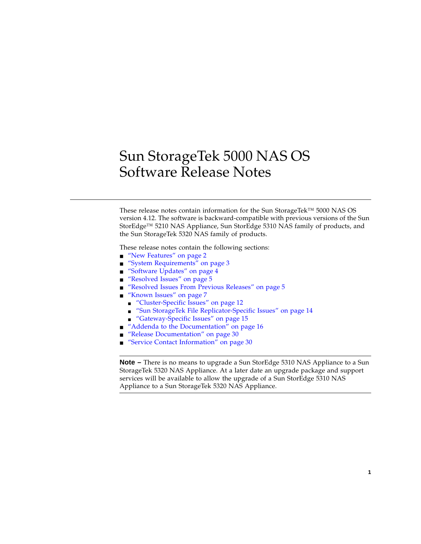# Sun StorageTek 5000 NAS OS Software Release Notes

These release notes contain information for the Sun StorageTek™ 5000 NAS OS version 4.12. The software is backward-compatible with previous versions of the Sun StorEdge™ 5210 NAS Appliance, Sun StorEdge 5310 NAS family of products, and the Sun StorageTek 5320 NAS family of products.

These release notes contain the following sections:

- ["New Features" on page 2](#page-3-0)
- ["System Requirements" on page 3](#page-4-0)
- ["Software Updates" on page 4](#page-5-0)
- ["Resolved Issues" on page 5](#page-6-0)
- ["Resolved Issues From Previous Releases" on page 5](#page-6-1)
- ["Known Issues" on page 7](#page-8-0)
	- ["Cluster-Specific Issues" on page 12](#page-13-0)
	- ["Sun StorageTek File Replicator-Specific Issues" on page 14](#page-15-0)
	- ["Gateway-Specific Issues" on page 15](#page-16-0)
- ["Addenda to the Documentation" on page 16](#page-17-0)
- ["Release Documentation" on page 30](#page-31-0)
- ["Service Contact Information" on page 30](#page-31-1)

**Note –** There is no means to upgrade a Sun StorEdge 5310 NAS Appliance to a Sun StorageTek 5320 NAS Appliance. At a later date an upgrade package and support services will be available to allow the upgrade of a Sun StorEdge 5310 NAS Appliance to a Sun StorageTek 5320 NAS Appliance.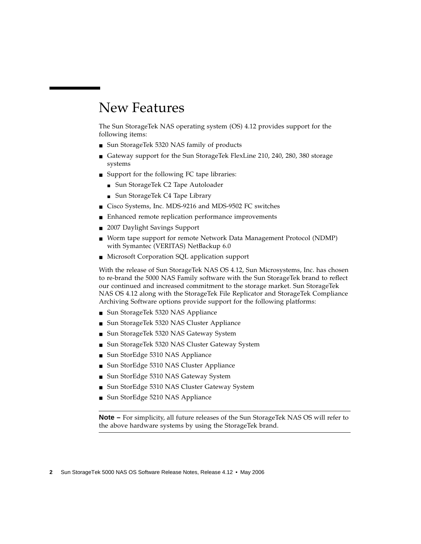# <span id="page-3-0"></span>New Features

The Sun StorageTek NAS operating system (OS) 4.12 provides support for the following items:

- Sun StorageTek 5320 NAS family of products
- Gateway support for the Sun StorageTek FlexLine 210, 240, 280, 380 storage systems
- Support for the following FC tape libraries:
	- Sun StorageTek C2 Tape Autoloader
	- Sun StorageTek C4 Tape Library
- Cisco Systems, Inc. MDS-9216 and MDS-9502 FC switches
- Enhanced remote replication performance improvements
- 2007 Daylight Savings Support
- Worm tape support for remote Network Data Management Protocol (NDMP) with Symantec (VERITAS) NetBackup 6.0
- Microsoft Corporation SQL application support

With the release of Sun StorageTek NAS OS 4.12, Sun Microsystems, Inc. has chosen to re-brand the 5000 NAS Family software with the Sun StorageTek brand to reflect our continued and increased commitment to the storage market. Sun StorageTek NAS OS 4.12 along with the StorageTek File Replicator and StorageTek Compliance Archiving Software options provide support for the following platforms:

- Sun StorageTek 5320 NAS Appliance
- Sun StorageTek 5320 NAS Cluster Appliance
- Sun StorageTek 5320 NAS Gateway System
- Sun StorageTek 5320 NAS Cluster Gateway System
- Sun StorEdge 5310 NAS Appliance
- Sun StorEdge 5310 NAS Cluster Appliance
- Sun StorEdge 5310 NAS Gateway System
- Sun StorEdge 5310 NAS Cluster Gateway System
- Sun StorEdge 5210 NAS Appliance

**Note –** For simplicity, all future releases of the Sun StorageTek NAS OS will refer to the above hardware systems by using the StorageTek brand.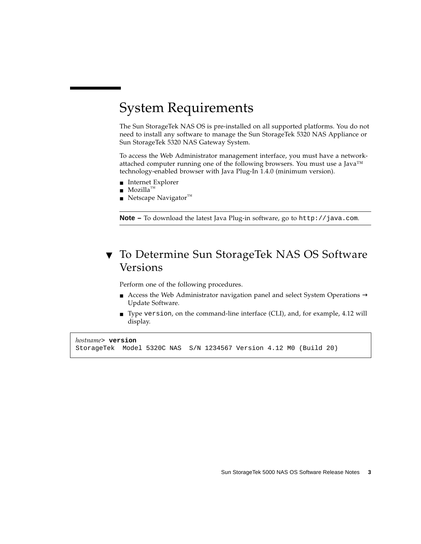# <span id="page-4-0"></span>System Requirements

The Sun StorageTek NAS OS is pre-installed on all supported platforms. You do not need to install any software to manage the Sun StorageTek 5320 NAS Appliance or Sun StorageTek 5320 NAS Gateway System.

To access the Web Administrator management interface, you must have a networkattached computer running one of the following browsers. You must use a Java™ technology-enabled browser with Java Plug-In 1.4.0 (minimum version).

- Internet Explorer
- Mozilla<sup>™</sup>
- **■** Netscape Navigator<sup>™</sup>

**Note –** To download the latest Java Plug-in software, go to http://java.com.

### ▼ To Determine Sun StorageTek NAS OS Software Versions

Perform one of the following procedures.

- Access the Web Administrator navigation panel and select System Operations  $\rightarrow$ Update Software.
- Type version, on the command-line interface (CLI), and, for example, 4.12 will display.

*hostname*> **version** StorageTek Model 5320C NAS S/N 1234567 Version 4.12 M0 (Build 20)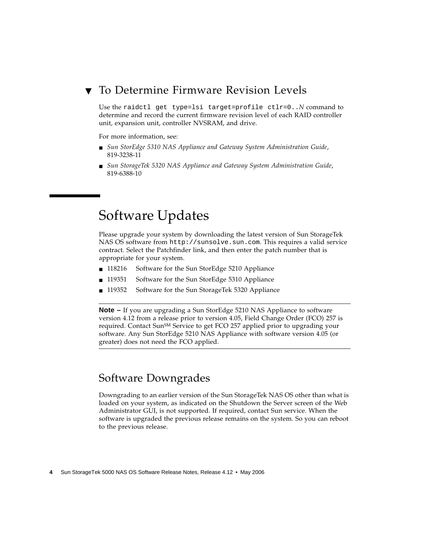### ▼ To Determine Firmware Revision Levels

Use the raidctl get type=lsi target=profile ctlr=0..*N* command to determine and record the current firmware revision level of each RAID controller unit, expansion unit, controller NVSRAM, and drive.

For more information, see:

- *Sun StorEdge 5310 NAS Appliance and Gateway System Administration Guide*, 819-3238-11
- *Sun StorageTek 5320 NAS Appliance and Gateway System Administration Guide*, 819-6388-10

# <span id="page-5-0"></span>Software Updates

Please upgrade your system by downloading the latest version of Sun StorageTek NAS OS software from http://sunsolve.sun.com. This requires a valid service contract. Select the Patchfinder link, and then enter the patch number that is appropriate for your system.

- 118216 Software for the Sun StorEdge 5210 Appliance
- 119351 Software for the Sun StorEdge 5310 Appliance
- 119352 Software for the Sun StorageTek 5320 Appliance

**Note –** If you are upgrading a Sun StorEdge 5210 NAS Appliance to software version 4.12 from a release prior to version 4.05, Field Change Order (FCO) 257 is required. Contact SunSM Service to get FCO 257 applied prior to upgrading your software. Any Sun StorEdge 5210 NAS Appliance with software version 4.05 (or greater) does not need the FCO applied.

### Software Downgrades

Downgrading to an earlier version of the Sun StorageTek NAS OS other than what is loaded on your system, as indicated on the Shutdown the Server screen of the Web Administrator GUI, is not supported. If required, contact Sun service. When the software is upgraded the previous release remains on the system. So you can reboot to the previous release.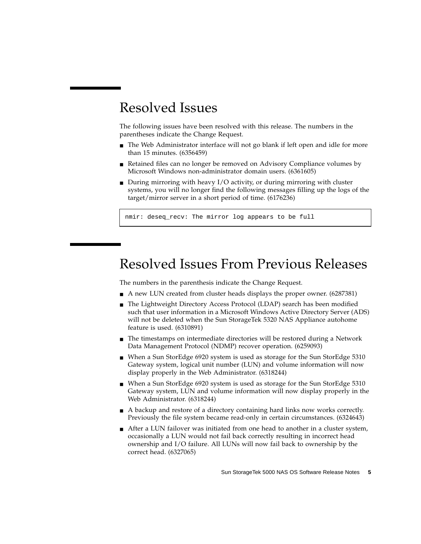# <span id="page-6-0"></span>Resolved Issues

The following issues have been resolved with this release. The numbers in the parentheses indicate the Change Request.

- The Web Administrator interface will not go blank if left open and idle for more than 15 minutes. (6356459)
- Retained files can no longer be removed on Advisory Compliance volumes by Microsoft Windows non-administrator domain users. (6361605)
- During mirroring with heavy I/O activity, or during mirroring with cluster systems, you will no longer find the following messages filling up the logs of the target/mirror server in a short period of time. (6176236)

nmir: deseq\_recv: The mirror log appears to be full

# <span id="page-6-1"></span>Resolved Issues From Previous Releases

The numbers in the parenthesis indicate the Change Request.

- A new LUN created from cluster heads displays the proper owner. (6287381)
- The Lightweight Directory Access Protocol (LDAP) search has been modified such that user information in a Microsoft Windows Active Directory Server (ADS) will not be deleted when the Sun StorageTek 5320 NAS Appliance autohome feature is used. (6310891)
- The timestamps on intermediate directories will be restored during a Network Data Management Protocol (NDMP) recover operation. (6259093)
- When a Sun StorEdge 6920 system is used as storage for the Sun StorEdge 5310 Gateway system, logical unit number (LUN) and volume information will now display properly in the Web Administrator. (6318244)
- When a Sun StorEdge 6920 system is used as storage for the Sun StorEdge 5310 Gateway system, LUN and volume information will now display properly in the Web Administrator. (6318244)
- A backup and restore of a directory containing hard links now works correctly. Previously the file system became read-only in certain circumstances. (6324643)
- After a LUN failover was initiated from one head to another in a cluster system, occasionally a LUN would not fail back correctly resulting in incorrect head ownership and I/O failure. All LUNs will now fail back to ownership by the correct head. (6327065)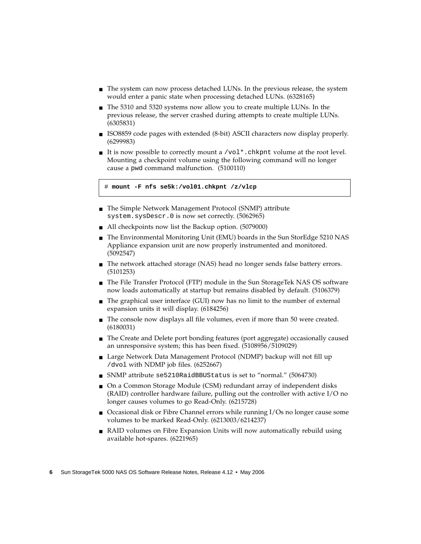- The system can now process detached LUNs. In the previous release, the system would enter a panic state when processing detached LUNs. (6328165)
- The 5310 and 5320 systems now allow you to create multiple LUNs. In the previous release, the server crashed during attempts to create multiple LUNs. (6305831)
- ISO8859 code pages with extended (8-bit) ASCII characters now display properly. (6299983)
- It is now possible to correctly mount a /vol  $\star$ . chkpnt volume at the root level. Mounting a checkpoint volume using the following command will no longer cause a pwd command malfunction. (5100110)

```
# mount -F nfs se5k:/vol01.chkpnt /z/vlcp
```
- The Simple Network Management Protocol (SNMP) attribute system.sysDescr.0 is now set correctly. (5062965)
- All checkpoints now list the Backup option. (5079000)
- The Environmental Monitoring Unit (EMU) boards in the Sun StorEdge 5210 NAS Appliance expansion unit are now properly instrumented and monitored. (5092547)
- The network attached storage (NAS) head no longer sends false battery errors. (5101253)
- The File Transfer Protocol (FTP) module in the Sun StorageTek NAS OS software now loads automatically at startup but remains disabled by default. (5106379)
- The graphical user interface (GUI) now has no limit to the number of external expansion units it will display. (6184256)
- The console now displays all file volumes, even if more than 50 were created. (6180031)
- The Create and Delete port bonding features (port aggregate) occasionally caused an unresponsive system; this has been fixed. (5108956/5109029)
- Large Network Data Management Protocol (NDMP) backup will not fill up /dvol with NDMP job files. (6252667)
- SNMP attribute se5210RaidBBUStatus is set to "normal." (5064730)
- On a Common Storage Module (CSM) redundant array of independent disks (RAID) controller hardware failure, pulling out the controller with active I/O no longer causes volumes to go Read-Only. (6215728)
- Occasional disk or Fibre Channel errors while running I/Os no longer cause some volumes to be marked Read-Only. (6213003/6214237)
- RAID volumes on Fibre Expansion Units will now automatically rebuild using available hot-spares. (6221965)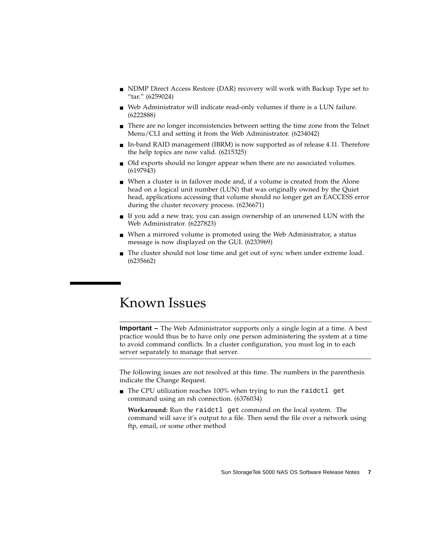- NDMP Direct Access Restore (DAR) recovery will work with Backup Type set to "tar." (6259024)
- Web Administrator will indicate read-only volumes if there is a LUN failure. (6222888)
- There are no longer inconsistencies between setting the time zone from the Telnet Menu/CLI and setting it from the Web Administrator. (6234042)
- In-band RAID management (IBRM) is now supported as of release 4.11. Therefore the help topics are now valid. (6215325)
- Old exports should no longer appear when there are no associated volumes. (6197943)
- When a cluster is in failover mode and, if a volume is created from the Alone head on a logical unit number (LUN) that was originally owned by the Quiet head, applications accessing that volume should no longer get an EACCESS error during the cluster recovery process. (6236671)
- If you add a new tray, you can assign ownership of an unowned LUN with the Web Administrator. (6227823)
- When a mirrored volume is promoted using the Web Administrator, a status message is now displayed on the GUI. (6233969)
- The cluster should not lose time and get out of sync when under extreme load. (6235662)

# <span id="page-8-0"></span>Known Issues

**Important –** The Web Administrator supports only a single login at a time. A best practice would thus be to have only one person administering the system at a time to avoid command conflicts. In a cluster configuration, you must log in to each server separately to manage that server.

The following issues are not resolved at this time. The numbers in the parenthesis indicate the Change Request.

 $\blacksquare$  The CPU utilization reaches 100% when trying to run the raidctl get command using an rsh connection. (6376034)

**Workaround:** Run the raidctl get command on the local system. The command will save it's output to a file. Then send the file over a network using ftp, email, or some other method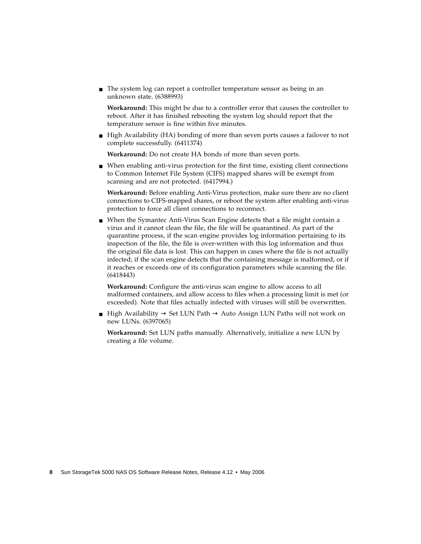■ The system log can report a controller temperature sensor as being in an unknown state. (6388993)

**Workaround:** This might be due to a controller error that causes the controller to reboot. After it has finished rebooting the system log should report that the temperature sensor is fine within five minutes.

■ High Availability (HA) bonding of more than seven ports causes a failover to not complete successfully. (6411374)

**Workaround:** Do not create HA bonds of more than seven ports.

■ When enabling anti-virus protection for the first time, existing client connections to Common Internet File System (CIFS) mapped shares will be exempt from scanning and are not protected. (6417994.)

**Workaround:** Before enabling Anti-Virus protection, make sure there are no client connections to CIFS-mapped shares, or reboot the system after enabling anti-virus protection to force all client connections to reconnect.

■ When the Symantec Anti-Virus Scan Engine detects that a file might contain a virus and it cannot clean the file, the file will be quarantined. As part of the quarantine process, if the scan engine provides log information pertaining to its inspection of the file, the file is over-written with this log information and thus the original file data is lost. This can happen in cases where the file is not actually infected; if the scan engine detects that the containing message is malformed, or if it reaches or exceeds one of its configuration parameters while scanning the file. (6418443)

**Workaround:** Configure the anti-virus scan engine to allow access to all malformed containers, and allow access to files when a processing limit is met (or exceeded). Note that files actually infected with viruses will still be overwritten.

■ High Availability  $\rightarrow$  Set LUN Path  $\rightarrow$  Auto Assign LUN Paths will not work on new LUNs. (6397065)

**Workaround:** Set LUN paths manually. Alternatively, initialize a new LUN by creating a file volume.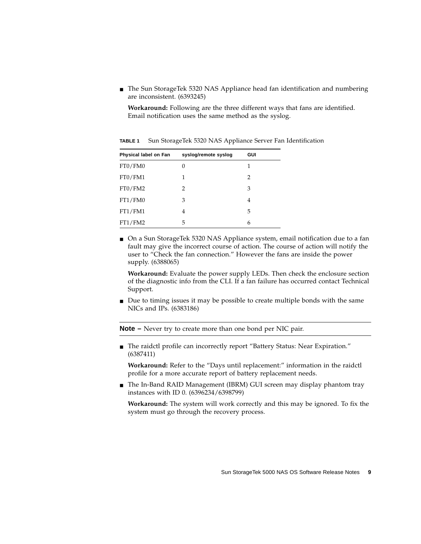■ The Sun StorageTek 5320 NAS Appliance head fan identification and numbering are inconsistent. (6393245)

**Workaround:** Following are the three different ways that fans are identified. Email notification uses the same method as the syslog.

**TABLE 1** Sun StorageTek 5320 NAS Appliance Server Fan Identification

| Physical label on Fan | syslog/remote syslog | GUI |
|-----------------------|----------------------|-----|
| FT0/FM0               | 0                    | 1   |
| FT0/FM1               | 1                    | 2   |
| FT0/FM2               | 2                    | 3   |
| FT1/FM0               | 3                    | 4   |
| FT1/FM1               | 4                    | 5   |
| FT1/FM2               | 5                    | 6   |

■ On a Sun StorageTek 5320 NAS Appliance system, email notification due to a fan fault may give the incorrect course of action. The course of action will notify the user to "Check the fan connection." However the fans are inside the power supply. (6388065)

**Workaround:** Evaluate the power supply LEDs. Then check the enclosure section of the diagnostic info from the CLI. If a fan failure has occurred contact Technical Support.

■ Due to timing issues it may be possible to create multiple bonds with the same NICs and IPs. (6383186)

**Note –** Never try to create more than one bond per NIC pair.

■ The raidctl profile can incorrectly report "Battery Status: Near Expiration." (6387411)

**Workaround:** Refer to the "Days until replacement:" information in the raidctl profile for a more accurate report of battery replacement needs.

■ The In-Band RAID Management (IBRM) GUI screen may display phantom tray instances with ID 0. (6396234/6398799)

**Workaround:** The system will work correctly and this may be ignored. To fix the system must go through the recovery process.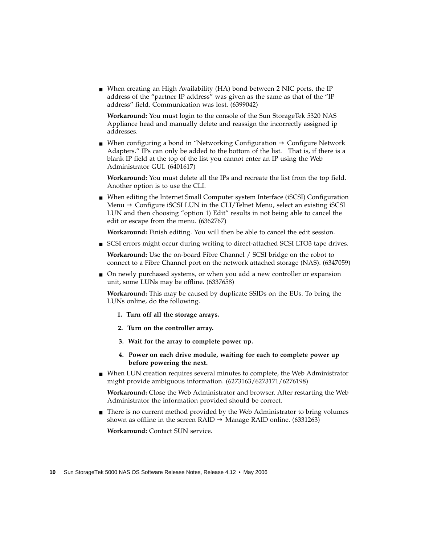■ When creating an High Availability (HA) bond between 2 NIC ports, the IP address of the "partner IP address" was given as the same as that of the "IP address" field. Communication was lost. (6399042)

**Workaround:** You must login to the console of the Sun StorageTek 5320 NAS Appliance head and manually delete and reassign the incorrectly assigned ip addresses.

■ When configuring a bond in "Networking Configuration  $\rightarrow$  Configure Network Adapters." IPs can only be added to the bottom of the list. That is, if there is a blank IP field at the top of the list you cannot enter an IP using the Web Administrator GUI. (6401617)

**Workaround:** You must delete all the IPs and recreate the list from the top field. Another option is to use the CLI.

■ When editing the Internet Small Computer system Interface (iSCSI) Configuration Menu  $\rightarrow$  Configure iSCSI LUN in the CLI/Telnet Menu, select an existing iSCSI LUN and then choosing "option 1) Edit" results in not being able to cancel the edit or escape from the menu. (6362767)

**Workaround:** Finish editing. You will then be able to cancel the edit session.

■ SCSI errors might occur during writing to direct-attached SCSI LTO3 tape drives.

**Workaround:** Use the on-board Fibre Channel / SCSI bridge on the robot to connect to a Fibre Channel port on the network attached storage (NAS). (6347059)

■ On newly purchased systems, or when you add a new controller or expansion unit, some LUNs may be offline. (6337658)

**Workaround:** This may be caused by duplicate SSIDs on the EUs. To bring the LUNs online, do the following.

- **1. Turn off all the storage arrays.**
- **2. Turn on the controller array.**
- **3. Wait for the array to complete power up.**
- **4. Power on each drive module, waiting for each to complete power up before powering the next.**
- When LUN creation requires several minutes to complete, the Web Administrator might provide ambiguous information. (6273163/6273171/6276198)

**Workaround:** Close the Web Administrator and browser. After restarting the Web Administrator the information provided should be correct.

■ There is no current method provided by the Web Administrator to bring volumes shown as offline in the screen RAID  $\rightarrow$  Manage RAID online. (6331263)

**Workaround:** Contact SUN service.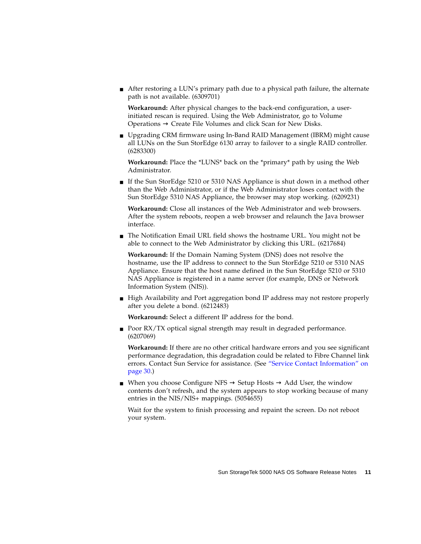■ After restoring a LUN's primary path due to a physical path failure, the alternate path is not available. (6309701)

**Workaround:** After physical changes to the back-end configuration, a userinitiated rescan is required. Using the Web Administrator, go to Volume Operations  $\rightarrow$  Create File Volumes and click Scan for New Disks.

■ Upgrading CRM firmware using In-Band RAID Management (IBRM) might cause all LUNs on the Sun StorEdge 6130 array to failover to a single RAID controller. (6283300)

**Workaround:** Place the \*LUNS\* back on the \*primary\* path by using the Web Administrator.

■ If the Sun StorEdge 5210 or 5310 NAS Appliance is shut down in a method other than the Web Administrator, or if the Web Administrator loses contact with the Sun StorEdge 5310 NAS Appliance, the browser may stop working. (6209231)

**Workaround:** Close all instances of the Web Administrator and web browsers. After the system reboots, reopen a web browser and relaunch the Java browser interface.

■ The Notification Email URL field shows the hostname URL. You might not be able to connect to the Web Administrator by clicking this URL. (6217684)

**Workaround:** If the Domain Naming System (DNS) does not resolve the hostname, use the IP address to connect to the Sun StorEdge 5210 or 5310 NAS Appliance. Ensure that the host name defined in the Sun StorEdge 5210 or 5310 NAS Appliance is registered in a name server (for example, DNS or Network Information System (NIS)).

■ High Availability and Port aggregation bond IP address may not restore properly after you delete a bond. (6212483)

**Workaround:** Select a different IP address for the bond.

■ Poor RX/TX optical signal strength may result in degraded performance. (6207069)

**Workaround:** If there are no other critical hardware errors and you see significant performance degradation, this degradation could be related to Fibre Channel link errors. Contact Sun Service for assistance. (See ["Service Contact Information" on](#page-31-1) [page 30.](#page-31-1))

■ When you choose Configure NFS  $\rightarrow$  Setup Hosts  $\rightarrow$  Add User, the window contents don't refresh, and the system appears to stop working because of many entries in the NIS/NIS+ mappings. (5054655)

Wait for the system to finish processing and repaint the screen. Do not reboot your system.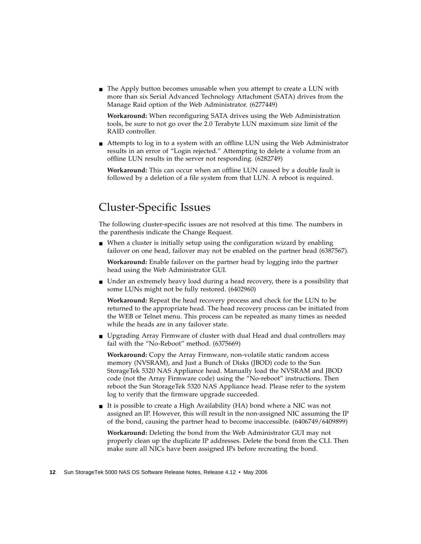■ The Apply button becomes unusable when you attempt to create a LUN with more than six Serial Advanced Technology Attachment (SATA) drives from the Manage Raid option of the Web Administrator. (6277449)

**Workaround:** When reconfiguring SATA drives using the Web Administration tools, be sure to not go over the 2.0 Terabyte LUN maximum size limit of the RAID controller.

■ Attempts to log in to a system with an offline LUN using the Web Administrator results in an error of "Login rejected." Attempting to delete a volume from an offline LUN results in the server not responding. (6282749)

**Workaround:** This can occur when an offline LUN caused by a double fault is followed by a deletion of a file system from that LUN. A reboot is required.

### <span id="page-13-0"></span>Cluster-Specific Issues

The following cluster-specific issues are not resolved at this time. The numbers in the parenthesis indicate the Change Request.

■ When a cluster is initially setup using the configuration wizard by enabling failover on one head, failover may not be enabled on the partner head (6387567).

**Workaround:** Enable failover on the partner head by logging into the partner head using the Web Administrator GUI.

■ Under an extremely heavy load during a head recovery, there is a possibility that some LUNs might not be fully restored. (6402960)

**Workaround:** Repeat the head recovery process and check for the LUN to be returned to the appropriate head. The head recovery process can be initiated from the WEB or Telnet menu. This process can be repeated as many times as needed while the heads are in any failover state.

■ Upgrading Array Firmware of cluster with dual Head and dual controllers may fail with the "No-Reboot" method. (6375669)

**Workaround:** Copy the Array Firmware, non-volatile static random access memory (NVSRAM), and Just a Bunch of Disks (JBOD) code to the Sun StorageTek 5320 NAS Appliance head. Manually load the NVSRAM and JBOD code (not the Array Firmware code) using the "No-reboot" instructions. Then reboot the Sun StorageTek 5320 NAS Appliance head. Please refer to the system log to verify that the firmware upgrade succeeded.

■ It is possible to create a High Availability (HA) bond where a NIC was not assigned an IP. However, this will result in the non-assigned NIC assuming the IP of the bond, causing the partner head to become inaccessible. (6406749/6409899)

**Workaround:** Deleting the bond from the Web Administrator GUI may not properly clean up the duplicate IP addresses. Delete the bond from the CLI. Then make sure all NICs have been assigned IPs before recreating the bond.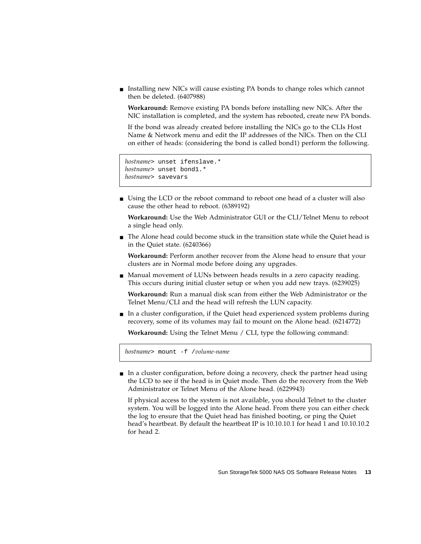■ Installing new NICs will cause existing PA bonds to change roles which cannot then be deleted. (6407988)

**Workaround:** Remove existing PA bonds before installing new NICs. After the NIC installation is completed, and the system has rebooted, create new PA bonds.

If the bond was already created before installing the NICs go to the CLIs Host Name & Network menu and edit the IP addresses of the NICs. Then on the CLI on either of heads: (considering the bond is called bond1) perform the following.

```
hostname> unset ifenslave.*
hostname> unset bond1.*
hostname> savevars
```
■ Using the LCD or the reboot command to reboot one head of a cluster will also cause the other head to reboot. (6389192)

**Workaround:** Use the Web Administrator GUI or the CLI/Telnet Menu to reboot a single head only.

■ The Alone head could become stuck in the transition state while the Quiet head is in the Quiet state. (6240366)

**Workaround:** Perform another recover from the Alone head to ensure that your clusters are in Normal mode before doing any upgrades.

■ Manual movement of LUNs between heads results in a zero capacity reading. This occurs during initial cluster setup or when you add new trays. (6239025)

**Workaround:** Run a manual disk scan from either the Web Administrator or the Telnet Menu/CLI and the head will refresh the LUN capacity.

■ In a cluster configuration, if the Quiet head experienced system problems during recovery, some of its volumes may fail to mount on the Alone head. (6214772)

**Workaround:** Using the Telnet Menu / CLI, type the following command:

*hostname*> mount -f /*volume-name*

■ In a cluster configuration, before doing a recovery, check the partner head using the LCD to see if the head is in Quiet mode. Then do the recovery from the Web Administrator or Telnet Menu of the Alone head. (6229943)

If physical access to the system is not available, you should Telnet to the cluster system. You will be logged into the Alone head. From there you can either check the log to ensure that the Quiet head has finished booting, or ping the Quiet head's heartbeat. By default the heartbeat IP is 10.10.10.1 for head 1 and 10.10.10.2 for head 2.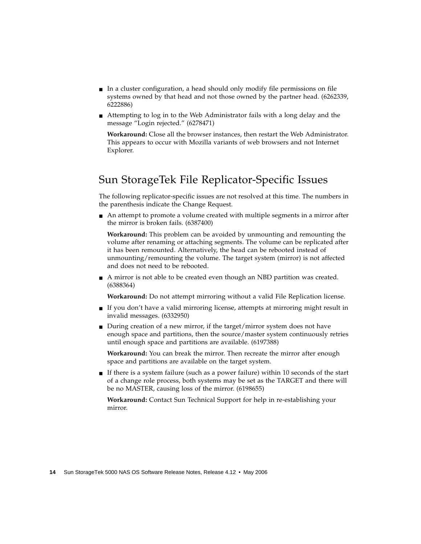- In a cluster configuration, a head should only modify file permissions on file systems owned by that head and not those owned by the partner head. (6262339, 6222886)
- Attempting to log in to the Web Administrator fails with a long delay and the message "Login rejected." (6278471)

**Workaround:** Close all the browser instances, then restart the Web Administrator. This appears to occur with Mozilla variants of web browsers and not Internet Explorer.

## <span id="page-15-0"></span>Sun StorageTek File Replicator-Specific Issues

The following replicator-specific issues are not resolved at this time. The numbers in the parenthesis indicate the Change Request.

■ An attempt to promote a volume created with multiple segments in a mirror after the mirror is broken fails. (6387400)

**Workaround:** This problem can be avoided by unmounting and remounting the volume after renaming or attaching segments. The volume can be replicated after it has been remounted. Alternatively, the head can be rebooted instead of unmounting/remounting the volume. The target system (mirror) is not affected and does not need to be rebooted.

■ A mirror is not able to be created even though an NBD partition was created. (6388364)

**Workaround:** Do not attempt mirroring without a valid File Replication license.

- If you don't have a valid mirroring license, attempts at mirroring might result in invalid messages. (6332950)
- During creation of a new mirror, if the target/mirror system does not have enough space and partitions, then the source/master system continuously retries until enough space and partitions are available. (6197388)

**Workaround:** You can break the mirror. Then recreate the mirror after enough space and partitions are available on the target system.

■ If there is a system failure (such as a power failure) within 10 seconds of the start of a change role process, both systems may be set as the TARGET and there will be no MASTER, causing loss of the mirror. (6198655)

**Workaround:** Contact Sun Technical Support for help in re-establishing your mirror.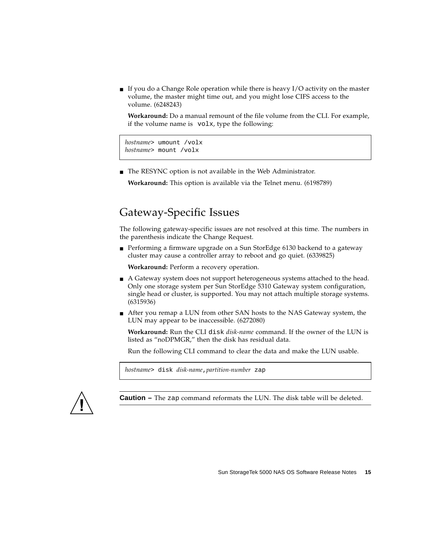**If you do a Change Role operation while there is heavy I/O activity on the master** volume, the master might time out, and you might lose CIFS access to the volume. (6248243)

**Workaround:** Do a manual remount of the file volume from the CLI. For example, if the volume name is volx, type the following:

*hostname*> umount /volx *hostname*> mount /volx

■ The RESYNC option is not available in the Web Administrator.

**Workaround:** This option is available via the Telnet menu. (6198789)

## <span id="page-16-0"></span>Gateway-Specific Issues

The following gateway-specific issues are not resolved at this time. The numbers in the parenthesis indicate the Change Request.

■ Performing a firmware upgrade on a Sun StorEdge 6130 backend to a gateway cluster may cause a controller array to reboot and go quiet. (6339825)

**Workaround:** Perform a recovery operation.

- A Gateway system does not support heterogeneous systems attached to the head. Only one storage system per Sun StorEdge 5310 Gateway system configuration, single head or cluster, is supported. You may not attach multiple storage systems. (6315936)
- After you remap a LUN from other SAN hosts to the NAS Gateway system, the LUN may appear to be inaccessible. (6272080)

**Workaround:** Run the CLI disk *disk-name* command. If the owner of the LUN is listed as "noDPMGR," then the disk has residual data.

Run the following CLI command to clear the data and make the LUN usable.

*hostname*> disk *disk-name*,*partition-number* zap



**Caution –** The zap command reformats the LUN. The disk table will be deleted.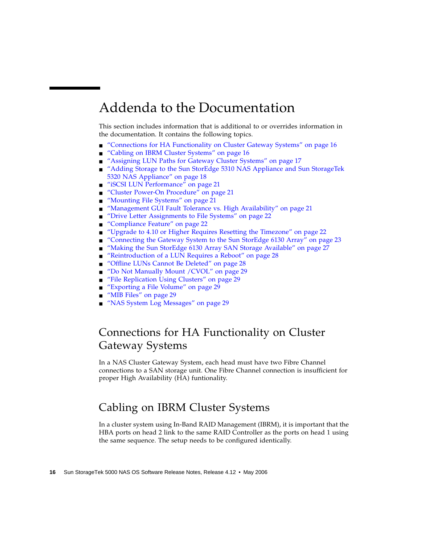# <span id="page-17-0"></span>Addenda to the Documentation

This section includes information that is additional to or overrides information in the documentation. It contains the following topics.

- ["Connections for HA Functionality on Cluster Gateway Systems" on page 16](#page-17-2)
- ["Cabling on IBRM Cluster Systems" on page 16](#page-17-1)
- ["Assigning LUN Paths for Gateway Cluster Systems" on page 17](#page-18-0)
- ["Adding Storage to the Sun StorEdge 5310 NAS Appliance and Sun StorageTek](#page-19-0) [5320 NAS Appliance" on page 18](#page-19-0)
- ["iSCSI LUN Performance" on page 21](#page-22-0)
- ["Cluster Power-On Procedure" on page 21](#page-22-1)
- ["Mounting File Systems" on page 21](#page-22-2)
- ["Management GUI Fault Tolerance vs. High Availability" on page 21](#page-22-3)
- ["Drive Letter Assignments to File Systems" on page 22](#page-23-0)
- ["Compliance Feature" on page 22](#page-23-1)
- ["Upgrade to 4.10 or Higher Requires Resetting the Timezone" on page 22](#page-23-2)
- ["Connecting the Gateway System to the Sun StorEdge 6130 Array" on page 23](#page-24-0)
- ["Making the Sun StorEdge 6130 Array SAN Storage Available" on page 27](#page-28-0)
- ["Reintroduction of a LUN Requires a Reboot" on page 28](#page-29-0)
- ["Offline LUNs Cannot Be Deleted" on page 28](#page-29-1)
- "Do Not Manually Mount / CVOL" on page 29
- ["File Replication Using Clusters" on page 29](#page-30-1)
- ["Exporting a File Volume" on page 29](#page-30-2)
- ["MIB Files" on page 29](#page-30-3)
- ["NAS System Log Messages" on page 29](#page-30-4)

# <span id="page-17-2"></span>Connections for HA Functionality on Cluster Gateway Systems

In a NAS Cluster Gateway System, each head must have two Fibre Channel connections to a SAN storage unit. One Fibre Channel connection is insufficient for proper High Availability (HA) funtionality.

# <span id="page-17-1"></span>Cabling on IBRM Cluster Systems

In a cluster system using In-Band RAID Management (IBRM), it is important that the HBA ports on head 2 link to the same RAID Controller as the ports on head 1 using the same sequence. The setup needs to be configured identically.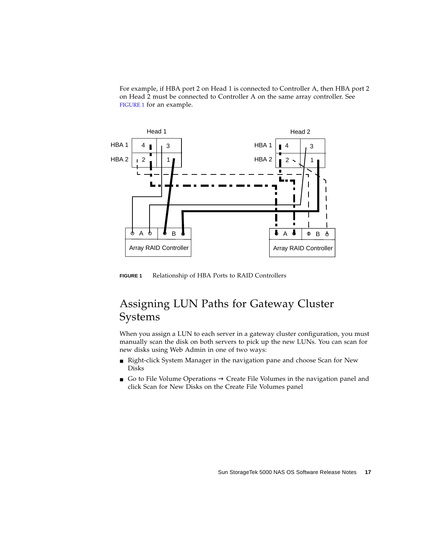For example, if HBA port 2 on Head 1 is connected to Controller A, then HBA port 2 on Head 2 must be connected to Controller A on the same array controller. See [FIGURE 1](#page-18-1) for an example.



<span id="page-18-1"></span>**FIGURE 1** Relationship of HBA Ports to RAID Controllers

# <span id="page-18-0"></span>Assigning LUN Paths for Gateway Cluster Systems

When you assign a LUN to each server in a gateway cluster configuration, you must manually scan the disk on both servers to pick up the new LUNs. You can scan for new disks using Web Admin in one of two ways:

- Right-click System Manager in the navigation pane and choose Scan for New Disks
- Go to File Volume Operations  $\rightarrow$  Create File Volumes in the navigation panel and click Scan for New Disks on the Create File Volumes panel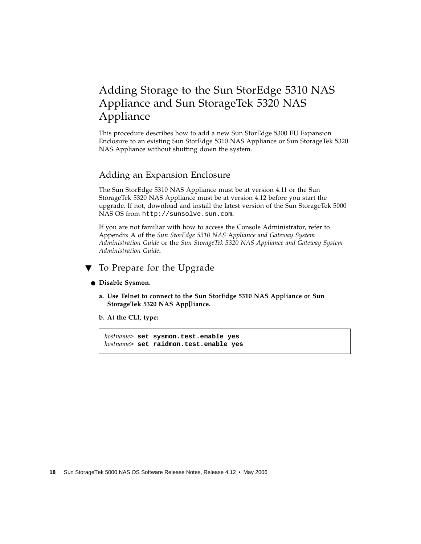# <span id="page-19-0"></span>Adding Storage to the Sun StorEdge 5310 NAS Appliance and Sun StorageTek 5320 NAS Appliance

This procedure describes how to add a new Sun StorEdge 5300 EU Expansion Enclosure to an existing Sun StorEdge 5310 NAS Appliance or Sun StorageTek 5320 NAS Appliance without shutting down the system.

#### Adding an Expansion Enclosure

The Sun StorEdge 5310 NAS Appliance must be at version 4.11 or the Sun StorageTek 5320 NAS Appliance must be at version 4.12 before you start the upgrade. If not, download and install the latest version of the Sun StorageTek 5000 NAS OS from http://sunsolve.sun.com**.**

If you are not familiar with how to access the Console Administrator, refer to Appendix A of the *Sun StorEdge 5310 NAS* A*ppliance and Gateway System Administration Guide* or the *Sun StorageTek 5320 NAS Appliance and Gateway System Administration Guide***.**

- ▼ To Prepare for the Upgrade
	- **Disable Sysmon.**
		- **a. Use Telnet to connect to the Sun StorEdge 5310 NAS Appliance or Sun StorageTek 5320 NAS App[liance.**
		- **b. At the CLI, type:**

*hostname*> **set sysmon.test.enable yes** *hostname*> **set raidmon.test.enable yes**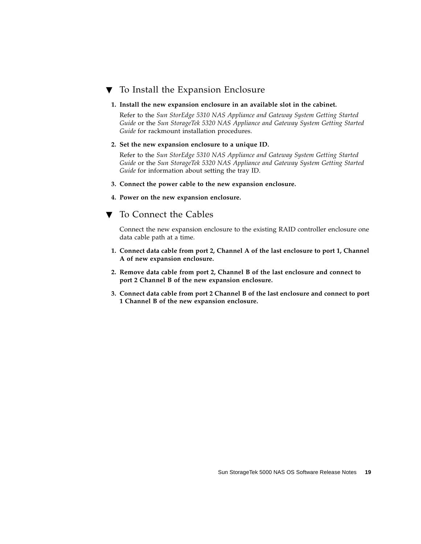### ▼ To Install the Expansion Enclosure

#### **1. Install the new expansion enclosure in an available slot in the cabinet.**

Refer to the *Sun StorEdge 5310 NAS Appliance and Gateway System Getting Started Guide* or the *Sun StorageTek 5320 NAS Appliance and Gateway System Getting Started Guide* for rackmount installation procedures.

#### **2. Set the new expansion enclosure to a unique ID.**

Refer to the *Sun StorEdge 5310 NAS Appliance and Gateway System Getting Started Guide* or the *Sun StorageTek 5320 NAS Appliance and Gateway System Getting Started Guide* for information about setting the tray ID.

- **3. Connect the power cable to the new expansion enclosure.**
- **4. Power on the new expansion enclosure.**

#### ▼ To Connect the Cables

Connect the new expansion enclosure to the existing RAID controller enclosure one data cable path at a time.

- **1. Connect data cable from port 2, Channel A of the last enclosure to port 1, Channel A of new expansion enclosure.**
- **2. Remove data cable from port 2, Channel B of the last enclosure and connect to port 2 Channel B of the new expansion enclosure.**
- **3. Connect data cable from port 2 Channel B of the last enclosure and connect to port 1 Channel B of the new expansion enclosure.**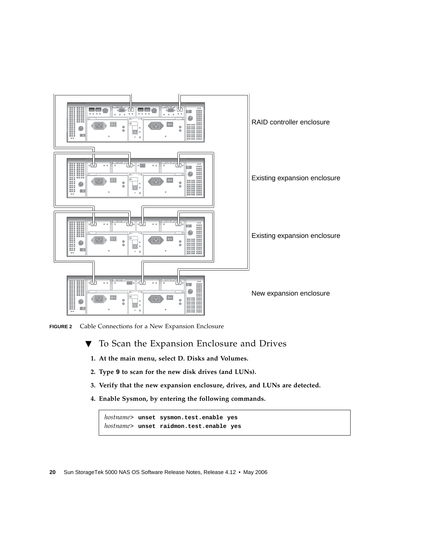

**FIGURE 2** Cable Connections for a New Expansion Enclosure

- ▼ To Scan the Expansion Enclosure and Drives
	- **1. At the main menu, select D. Disks and Volumes.**
	- **2. Type 9 to scan for the new disk drives (and LUNs).**
	- **3. Verify that the new expansion enclosure, drives, and LUNs are detected.**
	- **4. Enable Sysmon, by entering the following commands.**

*hostname*> **unset sysmon.test.enable yes** *hostname*> **unset raidmon.test.enable yes**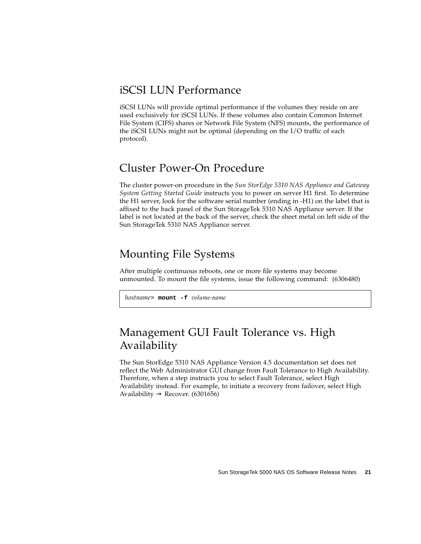### <span id="page-22-0"></span>iSCSI LUN Performance

iSCSI LUNs will provide optimal performance if the volumes they reside on are used exclusively for iSCSI LUNs. If these volumes also contain Common Internet File System (CIFS) shares or Network File System (NFS) mounts, the performance of the iSCSI LUNs might not be optimal (depending on the I/O traffic of each protocol).

# <span id="page-22-1"></span>Cluster Power-On Procedure

The cluster power-on procedure in the *Sun StorEdge 5310 NAS Appliance and Gateway System Getting Started Guide* instructs you to power on server H1 first. To determine the H1 server, look for the software serial number (ending in -H1) on the label that is affixed to the back panel of the Sun StorageTek 5310 NAS Appliance server. If the label is not located at the back of the server, check the sheet metal on left side of the Sun StorageTek 5310 NAS Appliance server.

# <span id="page-22-2"></span>Mounting File Systems

After multiple continuous reboots, one or more file systems may become unmounted. To mount the file systems, issue the following command: (6306480)

*hostname*> **mount -f** *volume-name*

# <span id="page-22-3"></span>Management GUI Fault Tolerance vs. High Availability

The Sun StorEdge 5310 NAS Appliance Version 4.5 documentation set does not reflect the Web Administrator GUI change from Fault Tolerance to High Availability. Therefore, when a step instructs you to select Fault Tolerance, select High Availability instead. For example, to initiate a recovery from failover, select High Availability  $\rightarrow$  Recover. (6301656)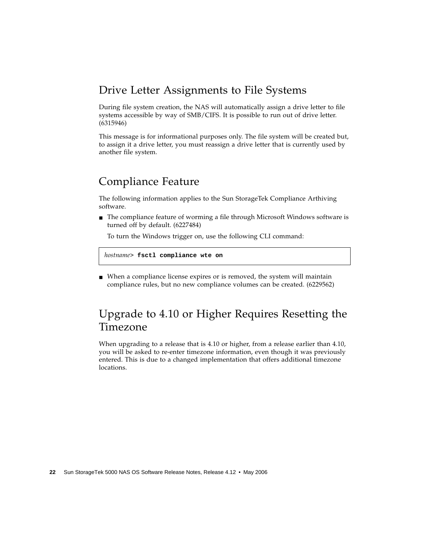## <span id="page-23-0"></span>Drive Letter Assignments to File Systems

During file system creation, the NAS will automatically assign a drive letter to file systems accessible by way of SMB/CIFS. It is possible to run out of drive letter. (6315946)

This message is for informational purposes only. The file system will be created but, to assign it a drive letter, you must reassign a drive letter that is currently used by another file system.

# <span id="page-23-1"></span>Compliance Feature

The following information applies to the Sun StorageTek Compliance Arthiving software.

■ The compliance feature of worming a file through Microsoft Windows software is turned off by default. (6227484)

To turn the Windows trigger on, use the following CLI command:

```
hostname> fsctl compliance wte on
```
■ When a compliance license expires or is removed, the system will maintain compliance rules, but no new compliance volumes can be created. (6229562)

# <span id="page-23-2"></span>Upgrade to 4.10 or Higher Requires Resetting the Timezone

When upgrading to a release that is 4.10 or higher, from a release earlier than 4.10, you will be asked to re-enter timezone information, even though it was previously entered. This is due to a changed implementation that offers additional timezone locations.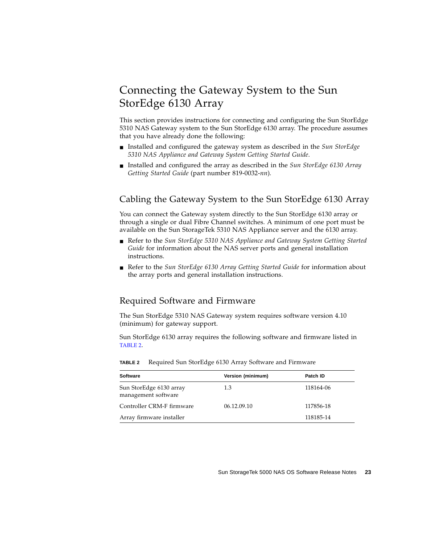# <span id="page-24-0"></span>Connecting the Gateway System to the Sun StorEdge 6130 Array

This section provides instructions for connecting and configuring the Sun StorEdge 5310 NAS Gateway system to the Sun StorEdge 6130 array. The procedure assumes that you have already done the following:

- Installed and configured the gateway system as described in the *Sun StorEdge 5310 NAS Appliance and Gateway System Getting Started Guide*.
- Installed and configured the array as described in the *Sun StorEdge 6130 Array Getting Started Guide* (part number 819-0032-*nn*)*.*

### Cabling the Gateway System to the Sun StorEdge 6130 Array

You can connect the Gateway system directly to the Sun StorEdge 6130 array or through a single or dual Fibre Channel switches. A minimum of one port must be available on the Sun StorageTek 5310 NAS Appliance server and the 6130 array.

- Refer to the *Sun StorEdge 5310 NAS Appliance and Gateway System Getting Started Guide* for information about the NAS server ports and general installation instructions.
- Refer to the *Sun StorEdge 6130 Array Getting Started Guide* for information about the array ports and general installation instructions.

#### Required Software and Firmware

The Sun StorEdge 5310 NAS Gateway system requires software version 4.10 (minimum) for gateway support.

Sun StorEdge 6130 array requires the following software and firmware listed in [TABLE 2.](#page-24-1)

| Software                                       | Version (minimum) | Patch ID  |
|------------------------------------------------|-------------------|-----------|
| Sun StorEdge 6130 array<br>management software | 1.3               | 118164-06 |
| Controller CRM-F firmware                      | 06.12.09.10       | 117856-18 |
| Array firmware installer                       |                   | 118185-14 |

<span id="page-24-1"></span>**TABLE 2** Required Sun StorEdge 6130 Array Software and Firmware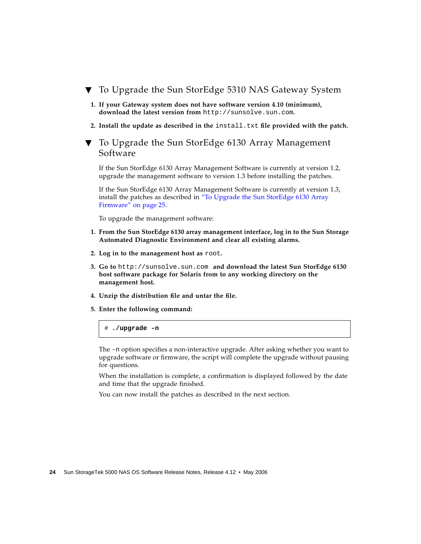- ▼ To Upgrade the Sun StorEdge 5310 NAS Gateway System
	- **1. If your Gateway system does not have software version 4.10 (minimum), download the latest version from** http://sunsolve.sun.com**.**
	- **2. Install the update as described in the** install.txt **file provided with the patch.**

#### To Upgrade the Sun StorEdge 6130 Array Management Software

If the Sun StorEdge 6130 Array Management Software is currently at version 1.2, upgrade the management software to version 1.3 before installing the patches.

If the Sun StorEdge 6130 Array Management Software is currently at version 1.3, install the patches as described in ["To Upgrade the Sun StorEdge 6130 Array](#page-26-0) [Firmware" on page 25](#page-26-0).

To upgrade the management software:

- **1. From the Sun StorEdge 6130 array management interface, log in to the Sun Storage Automated Diagnostic Environment and clear all existing alarms.**
- **2. Log in to the management host as** root**.**
- **3. Go to** http://sunsolve.sun.com **and download the latest Sun StorEdge 6130 host software package for Solaris from to any working directory on the management host.**
- **4. Unzip the distribution file and untar the file.**
- **5. Enter the following command:**

#### # **./upgrade -n**

The -n option specifies a non-interactive upgrade. After asking whether you want to upgrade software or firmware, the script will complete the upgrade without pausing for questions.

When the installation is complete, a confirmation is displayed followed by the date and time that the upgrade finished.

You can now install the patches as described in the next section.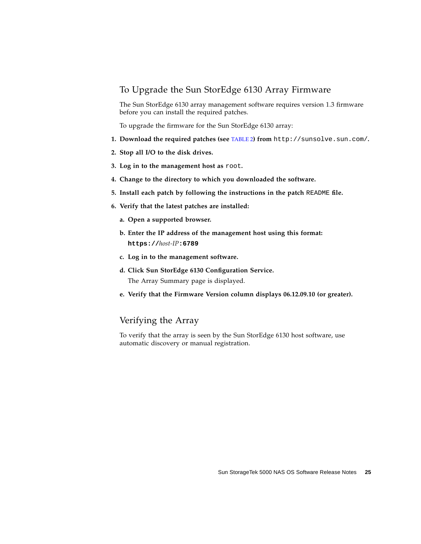#### <span id="page-26-0"></span>To Upgrade the Sun StorEdge 6130 Array Firmware

The Sun StorEdge 6130 array management software requires version 1.3 firmware before you can install the required patches.

To upgrade the firmware for the Sun StorEdge 6130 array:

- **1. Download the required patches (see** [TABLE 2](#page-24-1)**) from** http://sunsolve.sun.com/**.**
- **2. Stop all I/O to the disk drives.**
- **3. Log in to the management host as** root**.**
- **4. Change to the directory to which you downloaded the software.**
- **5. Install each patch by following the instructions in the patch** README **file.**
- **6. Verify that the latest patches are installed:**
	- **a. Open a supported browser.**
	- **b. Enter the IP address of the management host using this format: https://***host-IP***:6789**
	- **c. Log in to the management software.**
	- **d. Click Sun StorEdge 6130 Configuration Service.**

The Array Summary page is displayed.

**e. Verify that the Firmware Version column displays 06.12.09.10 (or greater).**

### Verifying the Array

To verify that the array is seen by the Sun StorEdge 6130 host software, use automatic discovery or manual registration.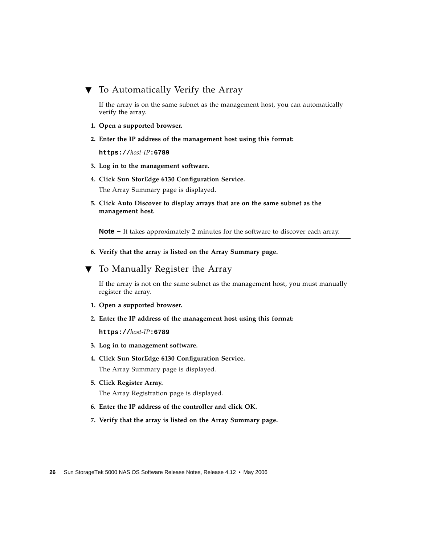#### ▼ To Automatically Verify the Array

If the array is on the same subnet as the management host, you can automatically verify the array.

- **1. Open a supported browser.**
- **2. Enter the IP address of the management host using this format:**

**https://***host-IP***:6789**

- **3. Log in to the management software.**
- **4. Click Sun StorEdge 6130 Configuration Service.**

The Array Summary page is displayed.

**5. Click Auto Discover to display arrays that are on the same subnet as the management host.**

**Note –** It takes approximately 2 minutes for the software to discover each array.

- **6. Verify that the array is listed on the Array Summary page.**
- ▼ To Manually Register the Array

If the array is not on the same subnet as the management host, you must manually register the array.

- **1. Open a supported browser.**
- **2. Enter the IP address of the management host using this format:**

**https://***host-IP***:6789**

- **3. Log in to management software.**
- **4. Click Sun StorEdge 6130 Configuration Service.**

The Array Summary page is displayed.

**5. Click Register Array.**

The Array Registration page is displayed.

- **6. Enter the IP address of the controller and click OK.**
- **7. Verify that the array is listed on the Array Summary page.**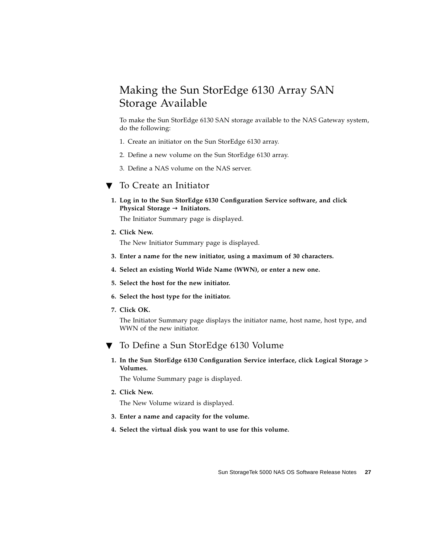# <span id="page-28-0"></span>Making the Sun StorEdge 6130 Array SAN Storage Available

To make the Sun StorEdge 6130 SAN storage available to the NAS Gateway system, do the following:

- 1. Create an initiator on the Sun StorEdge 6130 array.
- 2. Define a new volume on the Sun StorEdge 6130 array.
- 3. Define a NAS volume on the NAS server.
- ▼ To Create an Initiator
	- **1. Log in to the Sun StorEdge 6130 Configuration Service software, and click Physical Storage** → **Initiators.**

The Initiator Summary page is displayed.

**2. Click New.**

The New Initiator Summary page is displayed.

- **3. Enter a name for the new initiator, using a maximum of 30 characters.**
- **4. Select an existing World Wide Name (WWN), or enter a new one.**
- **5. Select the host for the new initiator.**
- **6. Select the host type for the initiator.**
- **7. Click OK.**

The Initiator Summary page displays the initiator name, host name, host type, and WWN of the new initiator.

- To Define a Sun StorEdge 6130 Volume
- **1. In the Sun StorEdge 6130 Configuration Service interface, click Logical Storage > Volumes.**

The Volume Summary page is displayed.

**2. Click New.**

The New Volume wizard is displayed.

- **3. Enter a name and capacity for the volume.**
- **4. Select the virtual disk you want to use for this volume.**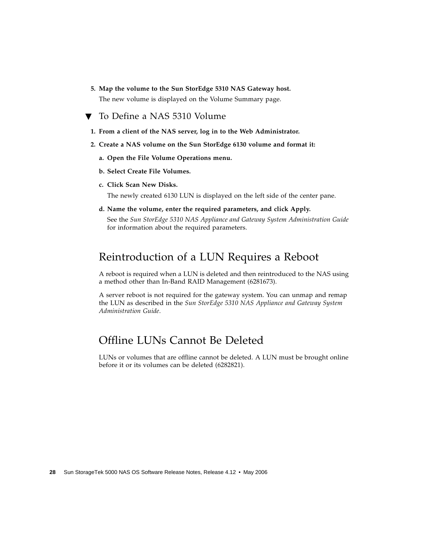**5. Map the volume to the Sun StorEdge 5310 NAS Gateway host.**

The new volume is displayed on the Volume Summary page.

- ▼ To Define a NAS 5310 Volume
	- **1. From a client of the NAS server, log in to the Web Administrator.**
	- **2. Create a NAS volume on the Sun StorEdge 6130 volume and format it:**
		- **a. Open the File Volume Operations menu.**
		- **b. Select Create File Volumes.**
		- **c. Click Scan New Disks.**

The newly created 6130 LUN is displayed on the left side of the center pane.

**d. Name the volume, enter the required parameters, and click Apply.**

See the *Sun StorEdge 5310 NAS Appliance and Gateway System Administration Guide* for information about the required parameters.

## <span id="page-29-0"></span>Reintroduction of a LUN Requires a Reboot

A reboot is required when a LUN is deleted and then reintroduced to the NAS using a method other than In-Band RAID Management (6281673).

A server reboot is not required for the gateway system. You can unmap and remap the LUN as described in the *Sun StorEdge 5310 NAS Appliance and Gateway System Administration Guide*.

# <span id="page-29-1"></span>Offline LUNs Cannot Be Deleted

LUNs or volumes that are offline cannot be deleted. A LUN must be brought online before it or its volumes can be deleted (6282821).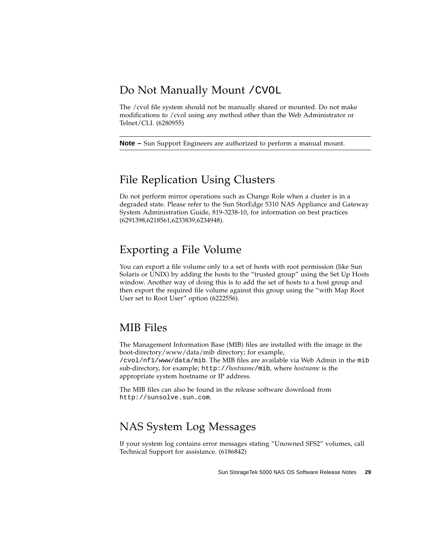### <span id="page-30-0"></span>Do Not Manually Mount /CVOL

The /cvol file system should not be manually shared or mounted. Do not make modifications to /cvol using any method other than the Web Administrator or Telnet/CLI. (6280955)

**Note –** Sun Support Engineers are authorized to perform a manual mount.

### <span id="page-30-1"></span>File Replication Using Clusters

Do not perform mirror operations such as Change Role when a cluster is in a degraded state. Please refer to the Sun StorEdge 5310 NAS Appliance and Gateway System Administration Guide, 819-3238-10, for information on best practices (6291398,6218561,6233839,6234948).

### <span id="page-30-2"></span>Exporting a File Volume

You can export a file volume only to a set of hosts with root permission (like Sun Solaris or UNIX) by adding the hosts to the "trusted group" using the Set Up Hosts window. Another way of doing this is to add the set of hosts to a host group and then export the required file volume against this group using the "with Map Root User set to Root User" option (6222556).

### <span id="page-30-3"></span>MIB Files

The Management Information Base (MIB) files are installed with the image in the boot-directory/www/data/mib directory; for example,

/cvol/nf1/www/data/mib. The MIB files are available via Web Admin in the mib sub-directory, for example; http://*hostname*/mib, where *hostname* is the appropriate system hostname or IP address.

The MIB files can also be found in the release software download from http://sunsolve.sun.com.

# <span id="page-30-4"></span>NAS System Log Messages

If your system log contains error messages stating "Unowned SFS2" volumes, call Technical Support for assistance. (6186842)